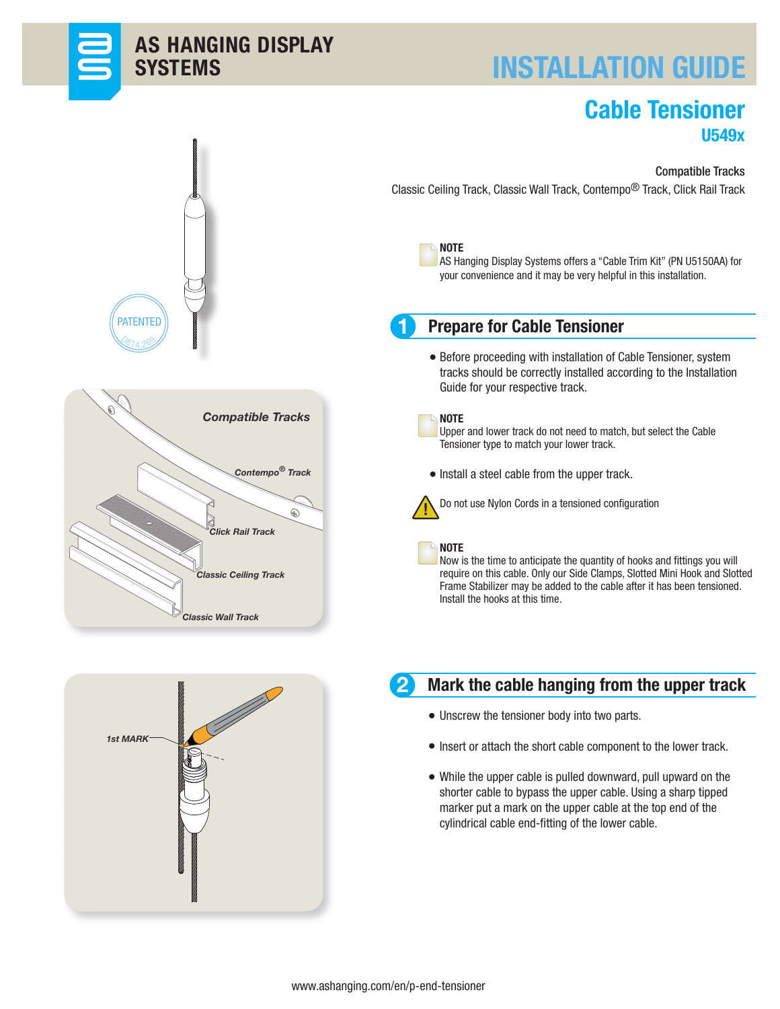

# INSTALLATION GUIDE

## Cable Tensioner U549x



Classic Ceiling Track, Classic Wall Track, Contempo® Track, Click Rail Track









AS Hanging Display Systems offers a "Cable Trim Kit" (PN U5150AA) for your convenience and it may be very helpful in this installation.

## Prepare for Cable Tensioner

Before proceeding with installation of Cable Tensioner, system • tracks should be correctly installed according to the Installation Guide for your respective track.



1

## **NOTE**

Upper and lower track do not need to match, but select the Cable Tensioner type to match your lower track.

• Install a steel cable from the upper track.



Do not use Nylon Cords in a tensioned configuration

## NOTE

Now is the time to anticipate the quantity of hooks and fittings you will require on this cable. Only our Side Clamps, Slotted Mini Hook and Slotted Frame Stabilizer may be added to the cable after it has been tensioned. Install the hooks at this time.



## Mark the cable hanging from the upper track

- Unscrew the tensioner body into two parts. •
- Insert or attach the short cable component to the lower track.
- While the upper cable is pulled downward, pull upward on the shorter cable to bypass the upper cable. Using a sharp tipped marker put a mark on the upper cable at the top end of the cylindrical cable end-fitting of the lower cable.